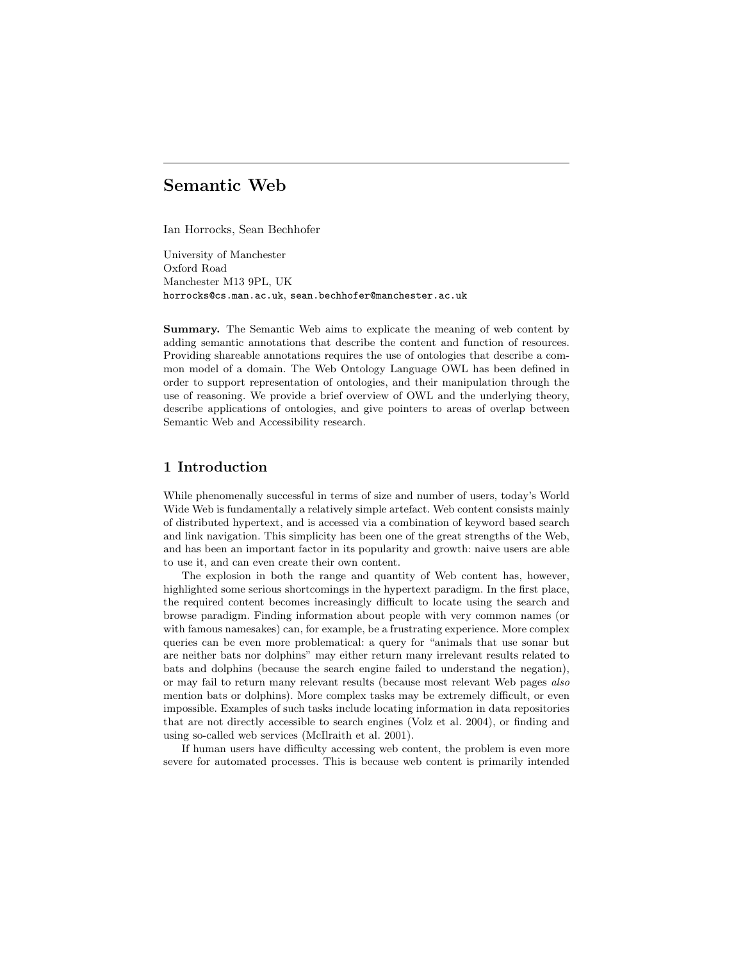## Semantic Web

Ian Horrocks, Sean Bechhofer

University of Manchester Oxford Road Manchester M13 9PL, UK horrocks@cs.man.ac.uk, sean.bechhofer@manchester.ac.uk

Summary. The Semantic Web aims to explicate the meaning of web content by adding semantic annotations that describe the content and function of resources. Providing shareable annotations requires the use of ontologies that describe a common model of a domain. The Web Ontology Language OWL has been defined in order to support representation of ontologies, and their manipulation through the use of reasoning. We provide a brief overview of OWL and the underlying theory, describe applications of ontologies, and give pointers to areas of overlap between Semantic Web and Accessibility research.

## 1 Introduction

While phenomenally successful in terms of size and number of users, today's World Wide Web is fundamentally a relatively simple artefact. Web content consists mainly of distributed hypertext, and is accessed via a combination of keyword based search and link navigation. This simplicity has been one of the great strengths of the Web, and has been an important factor in its popularity and growth: naive users are able to use it, and can even create their own content.

The explosion in both the range and quantity of Web content has, however, highlighted some serious shortcomings in the hypertext paradigm. In the first place, the required content becomes increasingly difficult to locate using the search and browse paradigm. Finding information about people with very common names (or with famous namesakes) can, for example, be a frustrating experience. More complex queries can be even more problematical: a query for "animals that use sonar but are neither bats nor dolphins" may either return many irrelevant results related to bats and dolphins (because the search engine failed to understand the negation), or may fail to return many relevant results (because most relevant Web pages also mention bats or dolphins). More complex tasks may be extremely difficult, or even impossible. Examples of such tasks include locating information in data repositories that are not directly accessible to search engines (Volz et al. 2004), or finding and using so-called web services (McIlraith et al. 2001).

If human users have difficulty accessing web content, the problem is even more severe for automated processes. This is because web content is primarily intended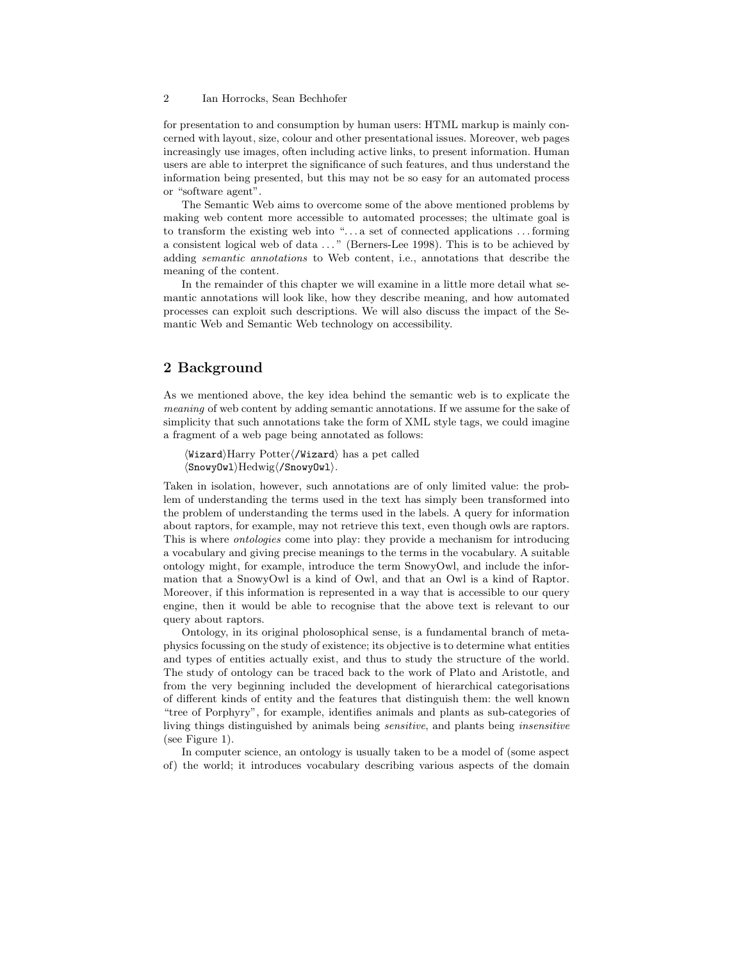for presentation to and consumption by human users: HTML markup is mainly concerned with layout, size, colour and other presentational issues. Moreover, web pages increasingly use images, often including active links, to present information. Human users are able to interpret the significance of such features, and thus understand the information being presented, but this may not be so easy for an automated process or "software agent".

The Semantic Web aims to overcome some of the above mentioned problems by making web content more accessible to automated processes; the ultimate goal is to transform the existing web into "...a set of connected applications ... forming a consistent logical web of data ..." (Berners-Lee 1998). This is to be achieved by adding semantic annotations to Web content, i.e., annotations that describe the meaning of the content.

In the remainder of this chapter we will examine in a little more detail what semantic annotations will look like, how they describe meaning, and how automated processes can exploit such descriptions. We will also discuss the impact of the Semantic Web and Semantic Web technology on accessibility.

## 2 Background

As we mentioned above, the key idea behind the semantic web is to explicate the meaning of web content by adding semantic annotations. If we assume for the sake of simplicity that such annotations take the form of XML style tags, we could imagine a fragment of a web page being annotated as follows:

 $\langle Wizard \rangle$ Harry Potter $\langle Wizard \rangle$  has a pet called  $\langle$ SnowyOwl $\rangle$ Hedwig $\langle$ /SnowyOwl $\rangle$ .

Taken in isolation, however, such annotations are of only limited value: the problem of understanding the terms used in the text has simply been transformed into the problem of understanding the terms used in the labels. A query for information about raptors, for example, may not retrieve this text, even though owls are raptors. This is where ontologies come into play: they provide a mechanism for introducing a vocabulary and giving precise meanings to the terms in the vocabulary. A suitable ontology might, for example, introduce the term SnowyOwl, and include the information that a SnowyOwl is a kind of Owl, and that an Owl is a kind of Raptor. Moreover, if this information is represented in a way that is accessible to our query engine, then it would be able to recognise that the above text is relevant to our query about raptors.

Ontology, in its original pholosophical sense, is a fundamental branch of metaphysics focussing on the study of existence; its objective is to determine what entities and types of entities actually exist, and thus to study the structure of the world. The study of ontology can be traced back to the work of Plato and Aristotle, and from the very beginning included the development of hierarchical categorisations of different kinds of entity and the features that distinguish them: the well known "tree of Porphyry", for example, identifies animals and plants as sub-categories of living things distinguished by animals being sensitive, and plants being insensitive (see Figure 1).

In computer science, an ontology is usually taken to be a model of (some aspect of) the world; it introduces vocabulary describing various aspects of the domain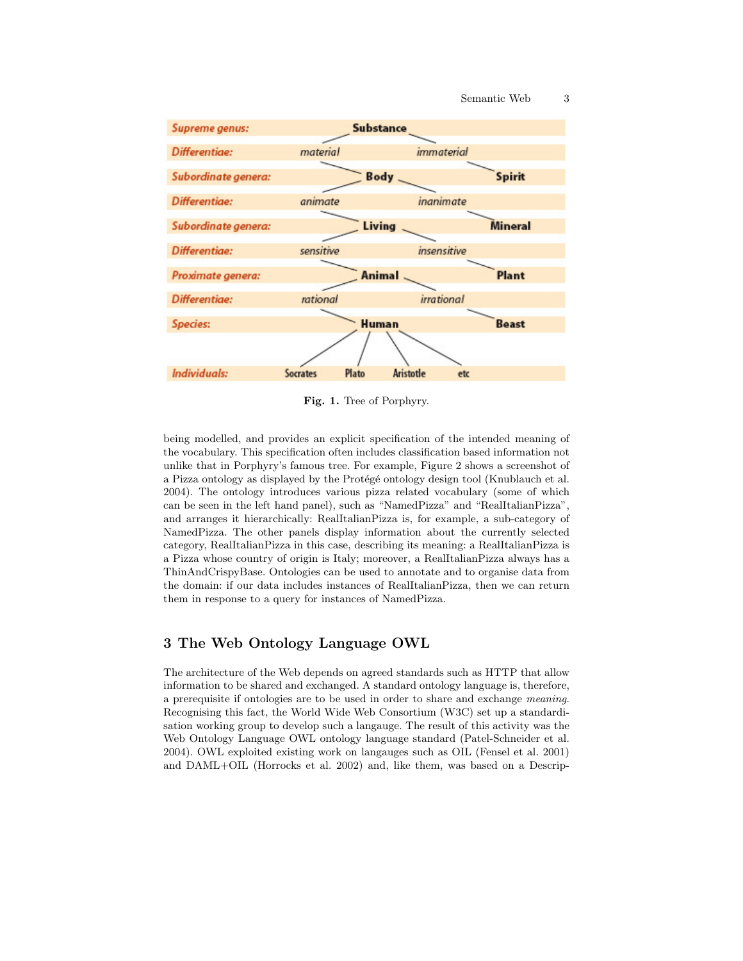

Fig. 1. Tree of Porphyry.

being modelled, and provides an explicit specification of the intended meaning of the vocabulary. This specification often includes classification based information not unlike that in Porphyry's famous tree. For example, Figure 2 shows a screenshot of a Pizza ontology as displayed by the Protégé ontology design tool (Knublauch et al. 2004). The ontology introduces various pizza related vocabulary (some of which can be seen in the left hand panel), such as "NamedPizza" and "RealItalianPizza", and arranges it hierarchically: RealItalianPizza is, for example, a sub-category of NamedPizza. The other panels display information about the currently selected category, RealItalianPizza in this case, describing its meaning: a RealItalianPizza is a Pizza whose country of origin is Italy; moreover, a RealItalianPizza always has a ThinAndCrispyBase. Ontologies can be used to annotate and to organise data from the domain: if our data includes instances of RealItalianPizza, then we can return them in response to a query for instances of NamedPizza.

## 3 The Web Ontology Language OWL

The architecture of the Web depends on agreed standards such as HTTP that allow information to be shared and exchanged. A standard ontology language is, therefore, a prerequisite if ontologies are to be used in order to share and exchange meaning. Recognising this fact, the World Wide Web Consortium (W3C) set up a standardisation working group to develop such a langauge. The result of this activity was the Web Ontology Language OWL ontology language standard (Patel-Schneider et al. 2004). OWL exploited existing work on langauges such as OIL (Fensel et al. 2001) and DAML+OIL (Horrocks et al. 2002) and, like them, was based on a Descrip-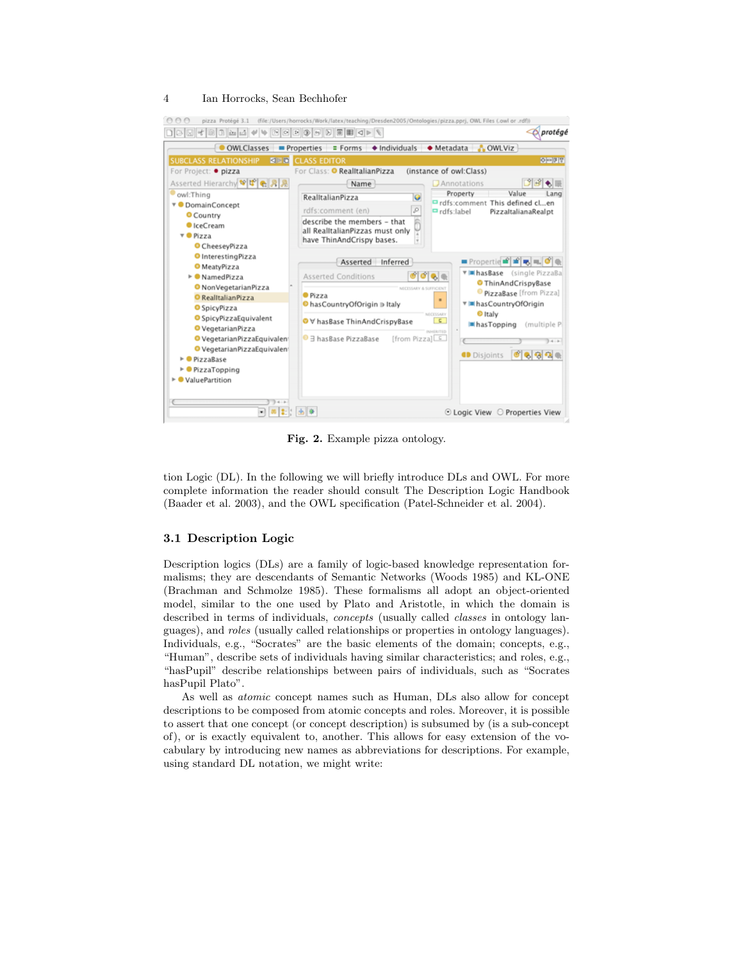| $\triangle$ Individuals<br>OWLClasses<br>Properties<br>$=$ Forms<br>$\bullet$ Metadata<br><b>A. OWLViz</b><br>이미미포<br><b>SUBCLASS RELATIONSHIP</b><br>den<br><b>CLASS EDITOR</b><br>For Class: O RealItalianPizza<br>(instance of owl:Class)<br>For Project: · pizza<br>Asserted Hierarchy <sup>19</sup> ピ e 月月<br>$\mathbb{E}$<br>Annotations<br>Name<br>Value<br>Property<br>Lang<br>owl:Thing<br>o<br><b>RealItalianPizza</b><br>□ rdfs:comment This defined clen<br>▼ DomainConcept<br>₽<br>rdfs:comment (en)<br>□ rdfs:label<br>PizzaltalianaRealpt<br><b>Country</b><br>describe the members - that<br><b>O</b> IceCream<br>all RealItalianPizzas must only<br>$\nabla$ <b>Pizza</b><br>have ThinAndCrispy bases.<br>O CheeseyPizza<br>O InterestingPizza<br>$\blacksquare$ Propertie $\blacksquare$ $\blacksquare$ $\blacksquare$ $\blacksquare$ $\blacksquare$ $\blacksquare$ $\blacksquare$<br>Inferred<br>Asserted<br><b>O</b> MeatyPizza<br>▼ MhasBase (single PizzaBa)<br>Asserted Conditions<br>$\triangleright$ <b>O</b> NamedPizza<br>ThinAndCrispyBase<br>O NonVegetarianPizza<br>NECESSARY & SUFFICIENT<br>PizzaBase [from Pizza]<br><b>O</b> Pizza<br><b>O</b> RealItalianPizza<br>● has Country Of Origin D Italy<br>▼ Im has Country Of Origin<br><b>O</b> SpicyPizza<br><b>O</b> Italy<br>NECESSARY<br><b>O</b> SpicyPizzaEquivalent<br>$\sqrt{2}$<br>O V has Base Thin And Crispy Base<br>(multiple P<br>$h$ as Topping<br>O Vegetarian Pizza<br><b>INHERITED</b><br>$\Theta$ 3 has Base PizzaBase<br>O Vegetarian Pizza Equivalent<br>[from Pizza]<br>$+ +$<br>O Vegetarian Pizza Equivalent | AAA<br>pizza Protégé 3.1<br>de el<br><b>七国国西</b> 西 | (file:/Users/horrocks/Work/latex/teaching/Dresden2005/Ontologies/pizza.pprj, OWL Files (.owl or .rdf))<br>$\mathbb{E}[\mathbf{0}] \rightarrow \mathbf{0} \times \mathbf{0} \times \mathbf{0}$ | protégé                     |
|---------------------------------------------------------------------------------------------------------------------------------------------------------------------------------------------------------------------------------------------------------------------------------------------------------------------------------------------------------------------------------------------------------------------------------------------------------------------------------------------------------------------------------------------------------------------------------------------------------------------------------------------------------------------------------------------------------------------------------------------------------------------------------------------------------------------------------------------------------------------------------------------------------------------------------------------------------------------------------------------------------------------------------------------------------------------------------------------------------------------------------------------------------------------------------------------------------------------------------------------------------------------------------------------------------------------------------------------------------------------------------------------------------------------------------------------------------------------------------------------------------------------------------------------------------------------------------------------------------------------|----------------------------------------------------|-----------------------------------------------------------------------------------------------------------------------------------------------------------------------------------------------|-----------------------------|
|                                                                                                                                                                                                                                                                                                                                                                                                                                                                                                                                                                                                                                                                                                                                                                                                                                                                                                                                                                                                                                                                                                                                                                                                                                                                                                                                                                                                                                                                                                                                                                                                                     |                                                    |                                                                                                                                                                                               |                             |
| $\triangleright$ $\bullet$ PizzaBase<br>► <i>● PizzaTopping</i><br>$\triangleright$ $\bullet$ ValuePartition<br>$-4 - 3$<br>$\odot$ Logic View $\odot$ Properties View                                                                                                                                                                                                                                                                                                                                                                                                                                                                                                                                                                                                                                                                                                                                                                                                                                                                                                                                                                                                                                                                                                                                                                                                                                                                                                                                                                                                                                              | ۰۱                                                 |                                                                                                                                                                                               | 8990<br><b>ID</b> Disjoints |

Fig. 2. Example pizza ontology.

tion Logic (DL). In the following we will briefly introduce DLs and OWL. For more complete information the reader should consult The Description Logic Handbook (Baader et al. 2003), and the OWL specification (Patel-Schneider et al. 2004).

## 3.1 Description Logic

Description logics (DLs) are a family of logic-based knowledge representation formalisms; they are descendants of Semantic Networks (Woods 1985) and KL-ONE (Brachman and Schmolze 1985). These formalisms all adopt an object-oriented model, similar to the one used by Plato and Aristotle, in which the domain is described in terms of individuals, concepts (usually called classes in ontology languages), and roles (usually called relationships or properties in ontology languages). Individuals, e.g., "Socrates" are the basic elements of the domain; concepts, e.g., "Human", describe sets of individuals having similar characteristics; and roles, e.g., "hasPupil" describe relationships between pairs of individuals, such as "Socrates hasPupil Plato".

As well as atomic concept names such as Human, DLs also allow for concept descriptions to be composed from atomic concepts and roles. Moreover, it is possible to assert that one concept (or concept description) is subsumed by (is a sub-concept of), or is exactly equivalent to, another. This allows for easy extension of the vocabulary by introducing new names as abbreviations for descriptions. For example, using standard DL notation, we might write: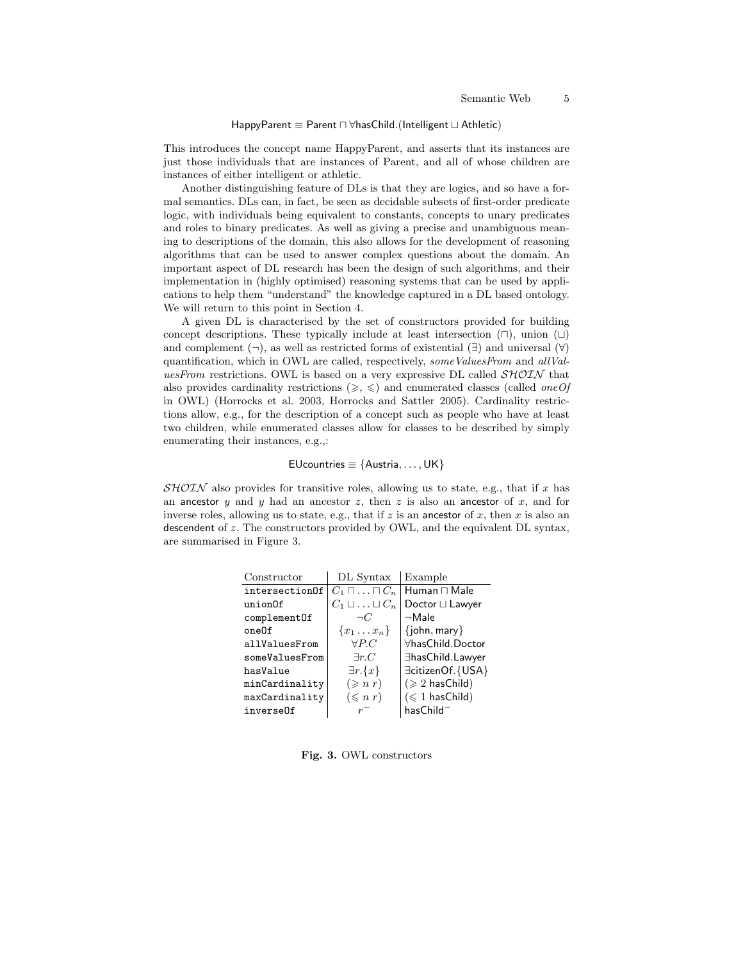#### HappyParent  $\equiv$  Parent  $\Box$   $\forall$ hasChild.(Intelligent  $\Box$  Athletic)

This introduces the concept name HappyParent, and asserts that its instances are just those individuals that are instances of Parent, and all of whose children are instances of either intelligent or athletic.

Another distinguishing feature of DLs is that they are logics, and so have a formal semantics. DLs can, in fact, be seen as decidable subsets of first-order predicate logic, with individuals being equivalent to constants, concepts to unary predicates and roles to binary predicates. As well as giving a precise and unambiguous meaning to descriptions of the domain, this also allows for the development of reasoning algorithms that can be used to answer complex questions about the domain. An important aspect of DL research has been the design of such algorithms, and their implementation in (highly optimised) reasoning systems that can be used by applications to help them "understand" the knowledge captured in a DL based ontology. We will return to this point in Section 4.

A given DL is characterised by the set of constructors provided for building concept descriptions. These typically include at least intersection  $(\sqcap)$ , union  $(\sqcup)$ and complement  $(\neg)$ , as well as restricted forms of existential  $(\exists)$  and universal  $(\forall)$ quantification, which in OWL are called, respectively, someValuesFrom and allValuesFrom restrictions. OWL is based on a very expressive DL called  $\mathcal{SHOLN}$  that also provides cardinality restrictions  $(\geq, \leq)$  and enumerated classes (called *oneOf* in OWL) (Horrocks et al. 2003, Horrocks and Sattler 2005). Cardinality restrictions allow, e.g., for the description of a concept such as people who have at least two children, while enumerated classes allow for classes to be described by simply enumerating their instances, e.g.,:

#### EUcountries  $\equiv$  {Austria, ..., UK}

 $\mathcal{SHOIN}$  also provides for transitive roles, allowing us to state, e.g., that if x has an ancestor  $y$  and  $y$  had an ancestor  $z$ , then  $z$  is also an ancestor of  $x$ , and for inverse roles, allowing us to state, e.g., that if  $z$  is an ancestor of  $x$ , then  $x$  is also an descendent of z. The constructors provided by OWL, and the equivalent DL syntax, are summarised in Figure 3.

| Constructor    | DL Syntax                      | Example                   |
|----------------|--------------------------------|---------------------------|
| intersectionOf | $C_1 \sqcap \ldots \sqcap C_n$ | Human $\sqcap$ Male       |
| unionOf        | $C_1 \sqcup \ldots \sqcup C_n$ | Doctor ⊔ Lawyer           |
| complementOf   | $\neg C$                       | $\neg$ Male               |
| oneOf          | $\{x_1 \ldots x_n\}$           | $\{john, Mary\}$          |
| allValuesFrom  | $\forall P.C$                  | ∀hasChild.Doctor          |
| someValuesFrom | $\exists r.C$                  | ∃hasChild.Lawyer          |
| hasValue       | $\exists r.\{x\}$              | ∃citizenOf.{USA}          |
| minCardinality | $(\geqslant n r)$              | $(\geqslant 2$ has Child) |
| maxCardinality | $(\leqslant n r)$              | $(\leqslant 1$ has Child) |
| inverseOf      | $r^{-}$                        | $hasChild^-$              |
|                |                                |                           |

Fig. 3. OWL constructors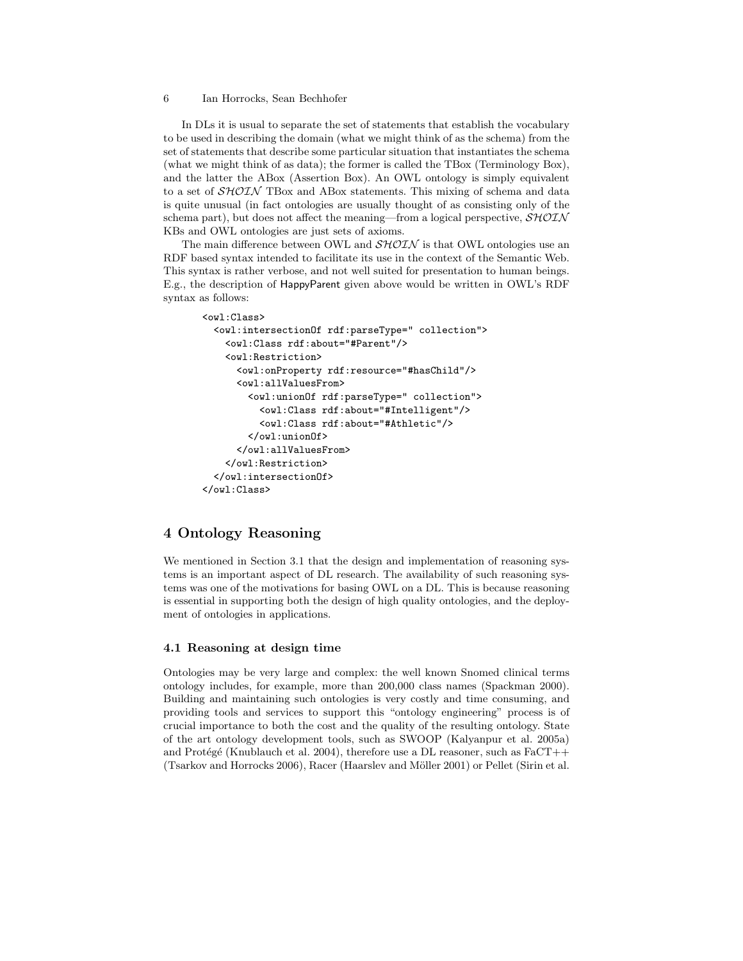In DLs it is usual to separate the set of statements that establish the vocabulary to be used in describing the domain (what we might think of as the schema) from the set of statements that describe some particular situation that instantiates the schema (what we might think of as data); the former is called the TBox (Terminology Box), and the latter the ABox (Assertion Box). An OWL ontology is simply equivalent to a set of  $\mathcal{SHOLN}$  TBox and ABox statements. This mixing of schema and data is quite unusual (in fact ontologies are usually thought of as consisting only of the schema part), but does not affect the meaning—from a logical perspective,  $\mathcal{SHOLN}$ KBs and OWL ontologies are just sets of axioms.

The main difference between OWL and  $\mathcal{SHOLN}$  is that OWL ontologies use an RDF based syntax intended to facilitate its use in the context of the Semantic Web. This syntax is rather verbose, and not well suited for presentation to human beings. E.g., the description of HappyParent given above would be written in OWL's RDF syntax as follows:

```
<owl:Class>
  <owl:intersectionOf rdf:parseType=" collection">
    <owl:Class rdf:about="#Parent"/>
    <owl:Restriction>
      <owl:onProperty rdf:resource="#hasChild"/>
      <owl:allValuesFrom>
        <owl:unionOf rdf:parseType=" collection">
          <owl:Class rdf:about="#Intelligent"/>
          <owl:Class rdf:about="#Athletic"/>
        </owl:unionOf>
      </owl:allValuesFrom>
    </owl:Restriction>
  </owl:intersectionOf>
</owl:Class>
```
## 4 Ontology Reasoning

We mentioned in Section 3.1 that the design and implementation of reasoning systems is an important aspect of DL research. The availability of such reasoning systems was one of the motivations for basing OWL on a DL. This is because reasoning is essential in supporting both the design of high quality ontologies, and the deployment of ontologies in applications.

## 4.1 Reasoning at design time

Ontologies may be very large and complex: the well known Snomed clinical terms ontology includes, for example, more than 200,000 class names (Spackman 2000). Building and maintaining such ontologies is very costly and time consuming, and providing tools and services to support this "ontology engineering" process is of crucial importance to both the cost and the quality of the resulting ontology. State of the art ontology development tools, such as SWOOP (Kalyanpur et al. 2005a) and Protégé (Knublauch et al. 2004), therefore use a DL reasoner, such as  $FaCT++$ (Tsarkov and Horrocks 2006), Racer (Haarslev and Möller 2001) or Pellet (Sirin et al.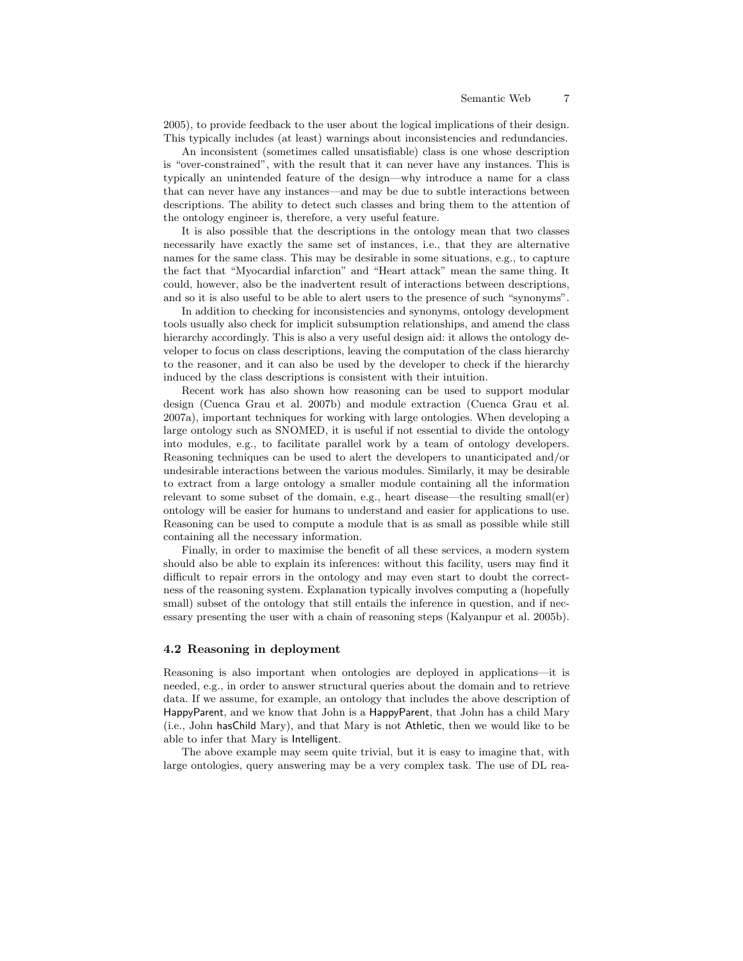2005), to provide feedback to the user about the logical implications of their design. This typically includes (at least) warnings about inconsistencies and redundancies.

An inconsistent (sometimes called unsatisfiable) class is one whose description is "over-constrained", with the result that it can never have any instances. This is typically an unintended feature of the design—why introduce a name for a class that can never have any instances—and may be due to subtle interactions between descriptions. The ability to detect such classes and bring them to the attention of the ontology engineer is, therefore, a very useful feature.

It is also possible that the descriptions in the ontology mean that two classes necessarily have exactly the same set of instances, i.e., that they are alternative names for the same class. This may be desirable in some situations, e.g., to capture the fact that "Myocardial infarction" and "Heart attack" mean the same thing. It could, however, also be the inadvertent result of interactions between descriptions, and so it is also useful to be able to alert users to the presence of such "synonyms".

In addition to checking for inconsistencies and synonyms, ontology development tools usually also check for implicit subsumption relationships, and amend the class hierarchy accordingly. This is also a very useful design aid: it allows the ontology developer to focus on class descriptions, leaving the computation of the class hierarchy to the reasoner, and it can also be used by the developer to check if the hierarchy induced by the class descriptions is consistent with their intuition.

Recent work has also shown how reasoning can be used to support modular design (Cuenca Grau et al. 2007b) and module extraction (Cuenca Grau et al. 2007a), important techniques for working with large ontologies. When developing a large ontology such as SNOMED, it is useful if not essential to divide the ontology into modules, e.g., to facilitate parallel work by a team of ontology developers. Reasoning techniques can be used to alert the developers to unanticipated and/or undesirable interactions between the various modules. Similarly, it may be desirable to extract from a large ontology a smaller module containing all the information relevant to some subset of the domain, e.g., heart disease—the resulting small(er) ontology will be easier for humans to understand and easier for applications to use. Reasoning can be used to compute a module that is as small as possible while still containing all the necessary information.

Finally, in order to maximise the benefit of all these services, a modern system should also be able to explain its inferences: without this facility, users may find it difficult to repair errors in the ontology and may even start to doubt the correctness of the reasoning system. Explanation typically involves computing a (hopefully small) subset of the ontology that still entails the inference in question, and if necessary presenting the user with a chain of reasoning steps (Kalyanpur et al. 2005b).

#### 4.2 Reasoning in deployment

Reasoning is also important when ontologies are deployed in applications—it is needed, e.g., in order to answer structural queries about the domain and to retrieve data. If we assume, for example, an ontology that includes the above description of HappyParent, and we know that John is a HappyParent, that John has a child Mary (i.e., John hasChild Mary), and that Mary is not Athletic, then we would like to be able to infer that Mary is Intelligent.

The above example may seem quite trivial, but it is easy to imagine that, with large ontologies, query answering may be a very complex task. The use of DL rea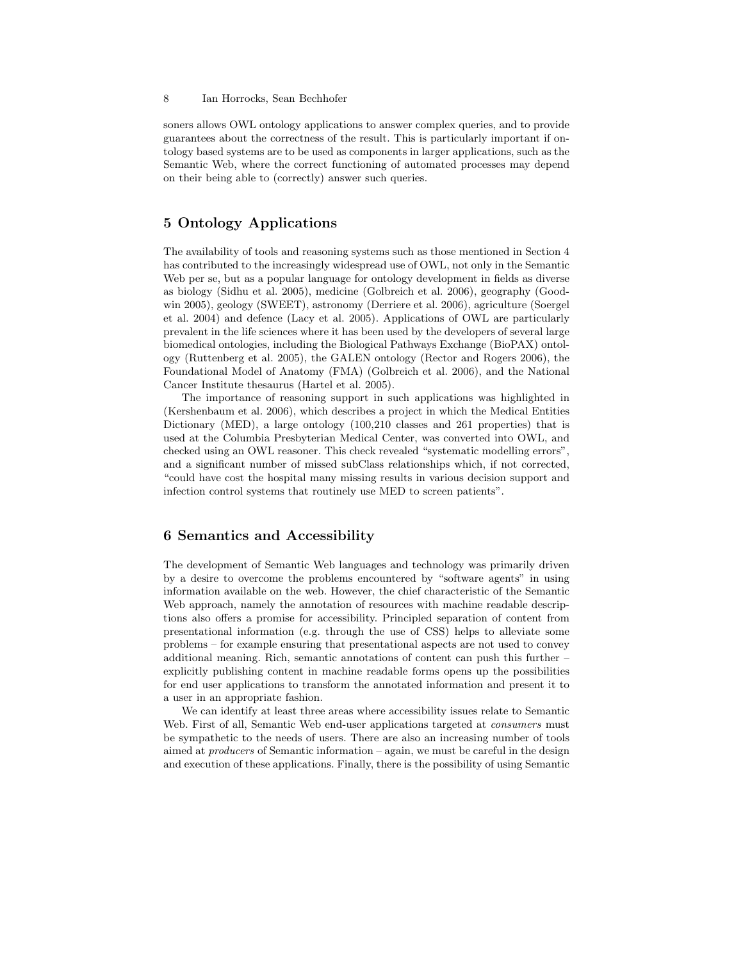soners allows OWL ontology applications to answer complex queries, and to provide guarantees about the correctness of the result. This is particularly important if ontology based systems are to be used as components in larger applications, such as the Semantic Web, where the correct functioning of automated processes may depend on their being able to (correctly) answer such queries.

## 5 Ontology Applications

The availability of tools and reasoning systems such as those mentioned in Section 4 has contributed to the increasingly widespread use of OWL, not only in the Semantic Web per se, but as a popular language for ontology development in fields as diverse as biology (Sidhu et al. 2005), medicine (Golbreich et al. 2006), geography (Goodwin 2005), geology (SWEET), astronomy (Derriere et al. 2006), agriculture (Soergel et al. 2004) and defence (Lacy et al. 2005). Applications of OWL are particularly prevalent in the life sciences where it has been used by the developers of several large biomedical ontologies, including the Biological Pathways Exchange (BioPAX) ontology (Ruttenberg et al. 2005), the GALEN ontology (Rector and Rogers 2006), the Foundational Model of Anatomy (FMA) (Golbreich et al. 2006), and the National Cancer Institute thesaurus (Hartel et al. 2005).

The importance of reasoning support in such applications was highlighted in (Kershenbaum et al. 2006), which describes a project in which the Medical Entities Dictionary (MED), a large ontology (100,210 classes and 261 properties) that is used at the Columbia Presbyterian Medical Center, was converted into OWL, and checked using an OWL reasoner. This check revealed "systematic modelling errors", and a significant number of missed subClass relationships which, if not corrected, "could have cost the hospital many missing results in various decision support and infection control systems that routinely use MED to screen patients".

## 6 Semantics and Accessibility

The development of Semantic Web languages and technology was primarily driven by a desire to overcome the problems encountered by "software agents" in using information available on the web. However, the chief characteristic of the Semantic Web approach, namely the annotation of resources with machine readable descriptions also offers a promise for accessibility. Principled separation of content from presentational information (e.g. through the use of CSS) helps to alleviate some problems – for example ensuring that presentational aspects are not used to convey additional meaning. Rich, semantic annotations of content can push this further – explicitly publishing content in machine readable forms opens up the possibilities for end user applications to transform the annotated information and present it to a user in an appropriate fashion.

We can identify at least three areas where accessibility issues relate to Semantic Web. First of all, Semantic Web end-user applications targeted at *consumers* must be sympathetic to the needs of users. There are also an increasing number of tools aimed at producers of Semantic information – again, we must be careful in the design and execution of these applications. Finally, there is the possibility of using Semantic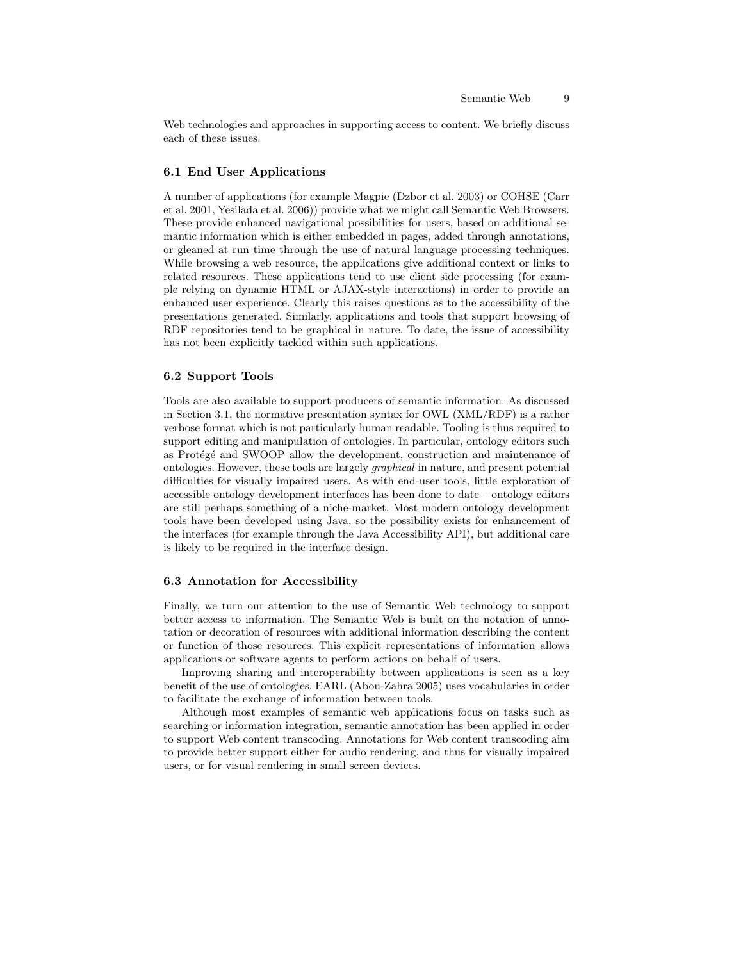Web technologies and approaches in supporting access to content. We briefly discuss each of these issues.

## 6.1 End User Applications

A number of applications (for example Magpie (Dzbor et al. 2003) or COHSE (Carr et al. 2001, Yesilada et al. 2006)) provide what we might call Semantic Web Browsers. These provide enhanced navigational possibilities for users, based on additional semantic information which is either embedded in pages, added through annotations, or gleaned at run time through the use of natural language processing techniques. While browsing a web resource, the applications give additional context or links to related resources. These applications tend to use client side processing (for example relying on dynamic HTML or AJAX-style interactions) in order to provide an enhanced user experience. Clearly this raises questions as to the accessibility of the presentations generated. Similarly, applications and tools that support browsing of RDF repositories tend to be graphical in nature. To date, the issue of accessibility has not been explicitly tackled within such applications.

#### 6.2 Support Tools

Tools are also available to support producers of semantic information. As discussed in Section 3.1, the normative presentation syntax for OWL (XML/RDF) is a rather verbose format which is not particularly human readable. Tooling is thus required to support editing and manipulation of ontologies. In particular, ontology editors such as Protégé and SWOOP allow the development, construction and maintenance of ontologies. However, these tools are largely graphical in nature, and present potential difficulties for visually impaired users. As with end-user tools, little exploration of accessible ontology development interfaces has been done to date – ontology editors are still perhaps something of a niche-market. Most modern ontology development tools have been developed using Java, so the possibility exists for enhancement of the interfaces (for example through the Java Accessibility API), but additional care is likely to be required in the interface design.

## 6.3 Annotation for Accessibility

Finally, we turn our attention to the use of Semantic Web technology to support better access to information. The Semantic Web is built on the notation of annotation or decoration of resources with additional information describing the content or function of those resources. This explicit representations of information allows applications or software agents to perform actions on behalf of users.

Improving sharing and interoperability between applications is seen as a key benefit of the use of ontologies. EARL (Abou-Zahra 2005) uses vocabularies in order to facilitate the exchange of information between tools.

Although most examples of semantic web applications focus on tasks such as searching or information integration, semantic annotation has been applied in order to support Web content transcoding. Annotations for Web content transcoding aim to provide better support either for audio rendering, and thus for visually impaired users, or for visual rendering in small screen devices.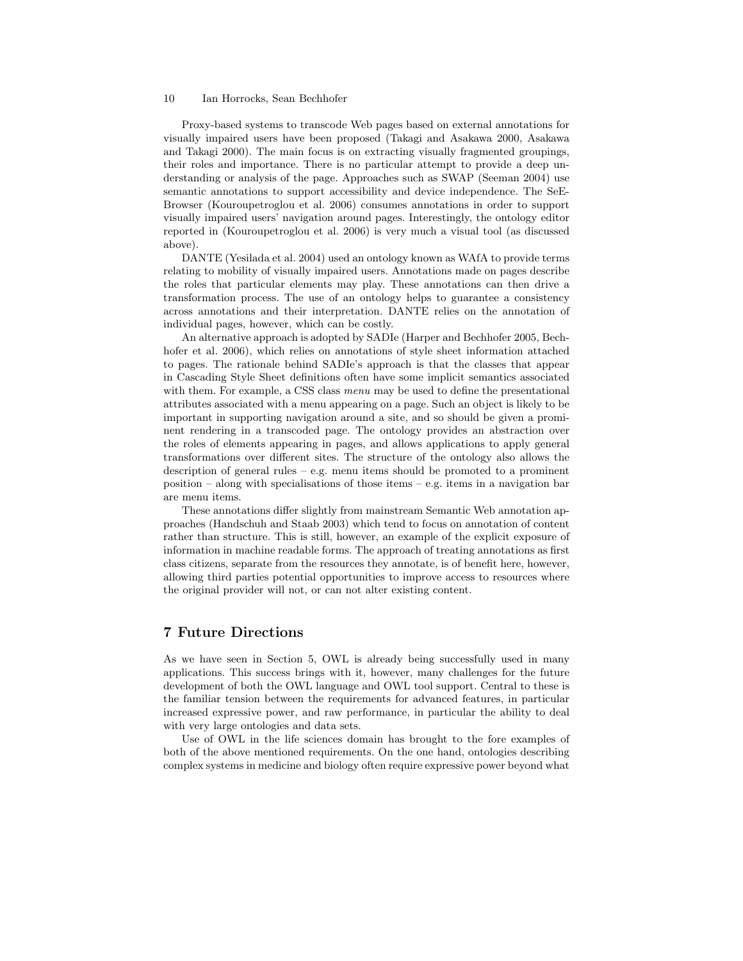Proxy-based systems to transcode Web pages based on external annotations for visually impaired users have been proposed (Takagi and Asakawa 2000, Asakawa and Takagi 2000). The main focus is on extracting visually fragmented groupings, their roles and importance. There is no particular attempt to provide a deep understanding or analysis of the page. Approaches such as SWAP (Seeman 2004) use semantic annotations to support accessibility and device independence. The SeE-Browser (Kouroupetroglou et al. 2006) consumes annotations in order to support visually impaired users' navigation around pages. Interestingly, the ontology editor reported in (Kouroupetroglou et al. 2006) is very much a visual tool (as discussed above).

DANTE (Yesilada et al. 2004) used an ontology known as WAfA to provide terms relating to mobility of visually impaired users. Annotations made on pages describe the roles that particular elements may play. These annotations can then drive a transformation process. The use of an ontology helps to guarantee a consistency across annotations and their interpretation. DANTE relies on the annotation of individual pages, however, which can be costly.

An alternative approach is adopted by SADIe (Harper and Bechhofer 2005, Bechhofer et al. 2006), which relies on annotations of style sheet information attached to pages. The rationale behind SADIe's approach is that the classes that appear in Cascading Style Sheet definitions often have some implicit semantics associated with them. For example, a CSS class *menu* may be used to define the presentational attributes associated with a menu appearing on a page. Such an object is likely to be important in supporting navigation around a site, and so should be given a prominent rendering in a transcoded page. The ontology provides an abstraction over the roles of elements appearing in pages, and allows applications to apply general transformations over different sites. The structure of the ontology also allows the description of general rules – e.g. menu items should be promoted to a prominent position – along with specialisations of those items – e.g. items in a navigation bar are menu items.

These annotations differ slightly from mainstream Semantic Web annotation approaches (Handschuh and Staab 2003) which tend to focus on annotation of content rather than structure. This is still, however, an example of the explicit exposure of information in machine readable forms. The approach of treating annotations as first class citizens, separate from the resources they annotate, is of benefit here, however, allowing third parties potential opportunities to improve access to resources where the original provider will not, or can not alter existing content.

## 7 Future Directions

As we have seen in Section 5, OWL is already being successfully used in many applications. This success brings with it, however, many challenges for the future development of both the OWL language and OWL tool support. Central to these is the familiar tension between the requirements for advanced features, in particular increased expressive power, and raw performance, in particular the ability to deal with very large ontologies and data sets.

Use of OWL in the life sciences domain has brought to the fore examples of both of the above mentioned requirements. On the one hand, ontologies describing complex systems in medicine and biology often require expressive power beyond what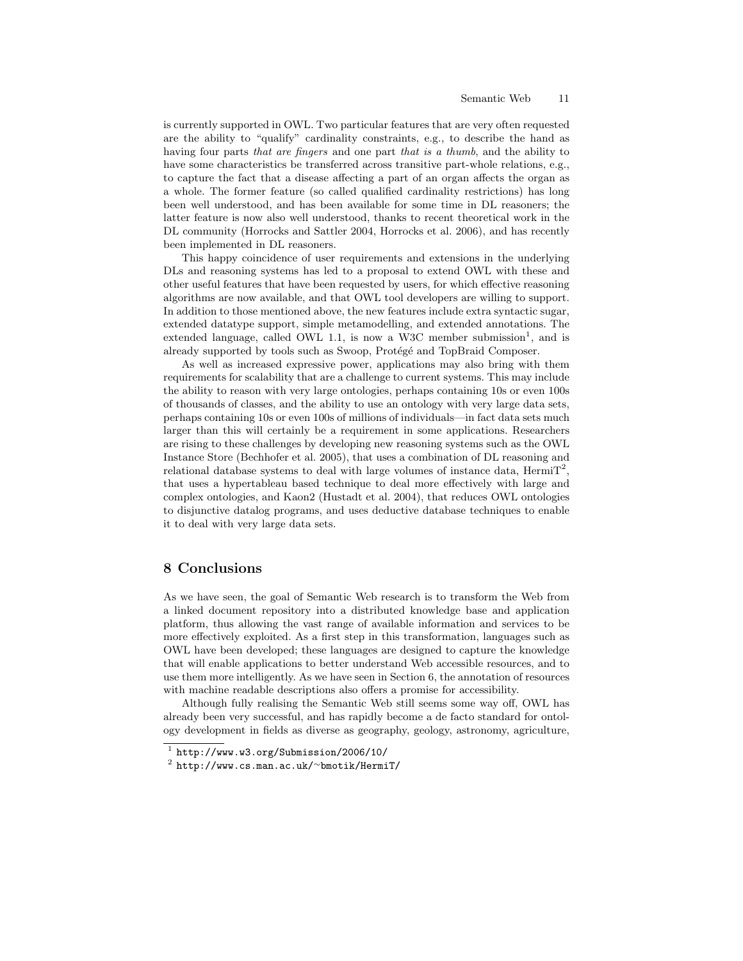is currently supported in OWL. Two particular features that are very often requested are the ability to "qualify" cardinality constraints, e.g., to describe the hand as having four parts that are fingers and one part that is a thumb, and the ability to have some characteristics be transferred across transitive part-whole relations, e.g., to capture the fact that a disease affecting a part of an organ affects the organ as a whole. The former feature (so called qualified cardinality restrictions) has long been well understood, and has been available for some time in DL reasoners; the latter feature is now also well understood, thanks to recent theoretical work in the DL community (Horrocks and Sattler 2004, Horrocks et al. 2006), and has recently been implemented in DL reasoners.

This happy coincidence of user requirements and extensions in the underlying DLs and reasoning systems has led to a proposal to extend OWL with these and other useful features that have been requested by users, for which effective reasoning algorithms are now available, and that OWL tool developers are willing to support. In addition to those mentioned above, the new features include extra syntactic sugar, extended datatype support, simple metamodelling, and extended annotations. The extended language, called OWL 1.1, is now a W3C member submission<sup>1</sup>, and is already supported by tools such as Swoop, Protégé and TopBraid Composer.

As well as increased expressive power, applications may also bring with them requirements for scalability that are a challenge to current systems. This may include the ability to reason with very large ontologies, perhaps containing 10s or even 100s of thousands of classes, and the ability to use an ontology with very large data sets, perhaps containing 10s or even 100s of millions of individuals—in fact data sets much larger than this will certainly be a requirement in some applications. Researchers are rising to these challenges by developing new reasoning systems such as the OWL Instance Store (Bechhofer et al. 2005), that uses a combination of DL reasoning and relational database systems to deal with large volumes of instance data,  $\text{HermiT}^2$ , that uses a hypertableau based technique to deal more effectively with large and complex ontologies, and Kaon2 (Hustadt et al. 2004), that reduces OWL ontologies to disjunctive datalog programs, and uses deductive database techniques to enable it to deal with very large data sets.

## 8 Conclusions

As we have seen, the goal of Semantic Web research is to transform the Web from a linked document repository into a distributed knowledge base and application platform, thus allowing the vast range of available information and services to be more effectively exploited. As a first step in this transformation, languages such as OWL have been developed; these languages are designed to capture the knowledge that will enable applications to better understand Web accessible resources, and to use them more intelligently. As we have seen in Section 6, the annotation of resources with machine readable descriptions also offers a promise for accessibility.

Although fully realising the Semantic Web still seems some way off, OWL has already been very successful, and has rapidly become a de facto standard for ontology development in fields as diverse as geography, geology, astronomy, agriculture,

<sup>1</sup> http://www.w3.org/Submission/2006/10/

 $^2$  http://www.cs.man.ac.uk/~bmotik/HermiT/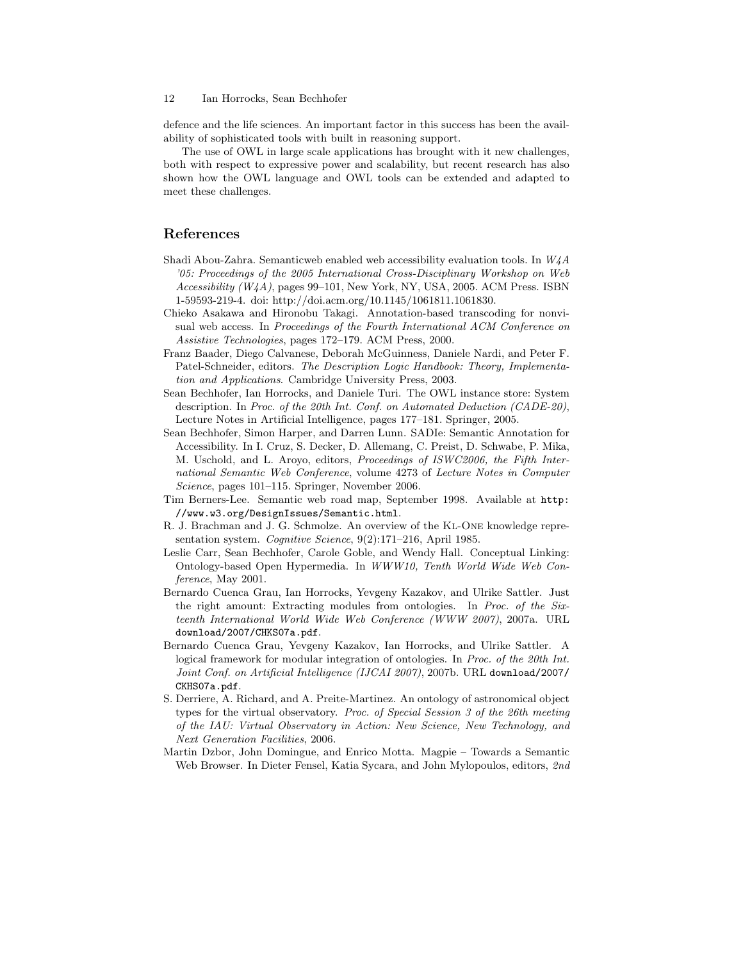defence and the life sciences. An important factor in this success has been the availability of sophisticated tools with built in reasoning support.

The use of OWL in large scale applications has brought with it new challenges, both with respect to expressive power and scalability, but recent research has also shown how the OWL language and OWL tools can be extended and adapted to meet these challenges.

## References

- Shadi Abou-Zahra. Semanticweb enabled web accessibility evaluation tools. In W4A '05: Proceedings of the 2005 International Cross-Disciplinary Workshop on Web Accessibility (W4A), pages 99–101, New York, NY, USA, 2005. ACM Press. ISBN 1-59593-219-4. doi: http://doi.acm.org/10.1145/1061811.1061830.
- Chieko Asakawa and Hironobu Takagi. Annotation-based transcoding for nonvisual web access. In Proceedings of the Fourth International ACM Conference on Assistive Technologies, pages 172–179. ACM Press, 2000.
- Franz Baader, Diego Calvanese, Deborah McGuinness, Daniele Nardi, and Peter F. Patel-Schneider, editors. The Description Logic Handbook: Theory, Implementation and Applications. Cambridge University Press, 2003.
- Sean Bechhofer, Ian Horrocks, and Daniele Turi. The OWL instance store: System description. In Proc. of the 20th Int. Conf. on Automated Deduction (CADE-20), Lecture Notes in Artificial Intelligence, pages 177–181. Springer, 2005.
- Sean Bechhofer, Simon Harper, and Darren Lunn. SADIe: Semantic Annotation for Accessibility. In I. Cruz, S. Decker, D. Allemang, C. Preist, D. Schwabe, P. Mika, M. Uschold, and L. Aroyo, editors, *Proceedings of ISWC2006*, the Fifth International Semantic Web Conference, volume 4273 of Lecture Notes in Computer Science, pages 101–115. Springer, November 2006.
- Tim Berners-Lee. Semantic web road map, September 1998. Available at http: //www.w3.org/DesignIssues/Semantic.html.
- R. J. Brachman and J. G. Schmolze. An overview of the Kl-One knowledge representation system. Cognitive Science, 9(2):171–216, April 1985.
- Leslie Carr, Sean Bechhofer, Carole Goble, and Wendy Hall. Conceptual Linking: Ontology-based Open Hypermedia. In WWW10, Tenth World Wide Web Conference, May 2001.
- Bernardo Cuenca Grau, Ian Horrocks, Yevgeny Kazakov, and Ulrike Sattler. Just the right amount: Extracting modules from ontologies. In Proc. of the Sixteenth International World Wide Web Conference (WWW 2007), 2007a. URL download/2007/CHKS07a.pdf.
- Bernardo Cuenca Grau, Yevgeny Kazakov, Ian Horrocks, and Ulrike Sattler. A logical framework for modular integration of ontologies. In Proc. of the 20th Int. Joint Conf. on Artificial Intelligence (IJCAI 2007), 2007b. URL download/2007/ CKHS07a.pdf.
- S. Derriere, A. Richard, and A. Preite-Martinez. An ontology of astronomical object types for the virtual observatory. Proc. of Special Session 3 of the 26th meeting of the IAU: Virtual Observatory in Action: New Science, New Technology, and Next Generation Facilities, 2006.
- Martin Dzbor, John Domingue, and Enrico Motta. Magpie Towards a Semantic Web Browser. In Dieter Fensel, Katia Sycara, and John Mylopoulos, editors, 2nd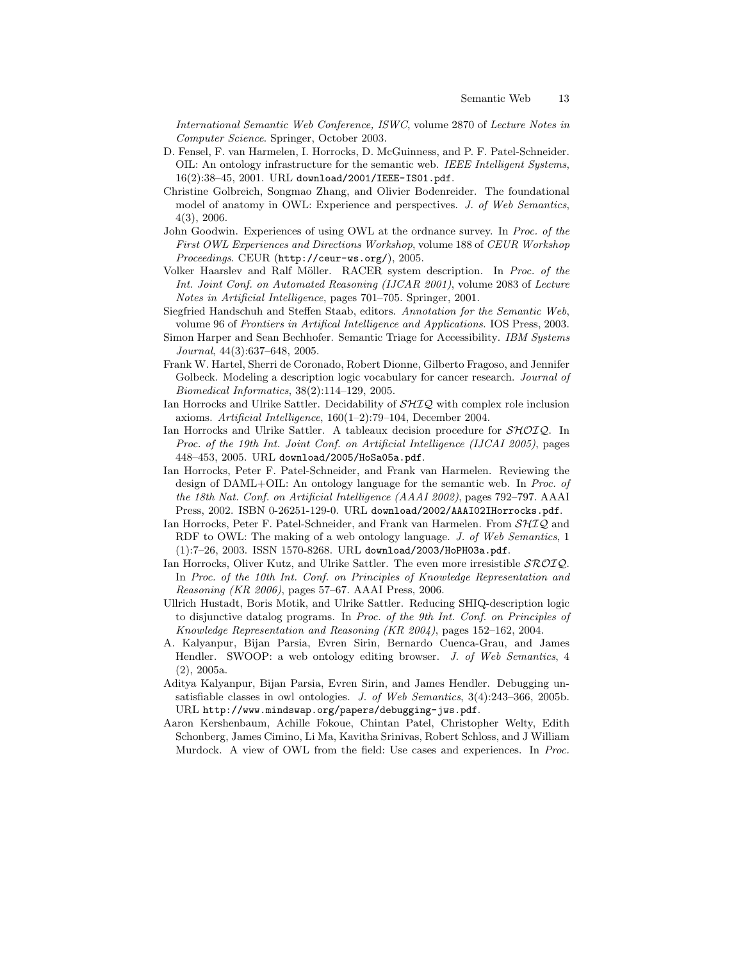International Semantic Web Conference, ISWC, volume 2870 of Lecture Notes in Computer Science. Springer, October 2003.

- D. Fensel, F. van Harmelen, I. Horrocks, D. McGuinness, and P. F. Patel-Schneider. OIL: An ontology infrastructure for the semantic web. IEEE Intelligent Systems, 16(2):38–45, 2001. URL download/2001/IEEE-IS01.pdf.
- Christine Golbreich, Songmao Zhang, and Olivier Bodenreider. The foundational model of anatomy in OWL: Experience and perspectives. J. of Web Semantics, 4(3), 2006.
- John Goodwin. Experiences of using OWL at the ordnance survey. In Proc. of the First OWL Experiences and Directions Workshop, volume 188 of CEUR Workshop Proceedings. CEUR (http://ceur-ws.org/), 2005.
- Volker Haarslev and Ralf Möller. RACER system description. In Proc. of the Int. Joint Conf. on Automated Reasoning (IJCAR 2001), volume 2083 of Lecture Notes in Artificial Intelligence, pages 701–705. Springer, 2001.
- Siegfried Handschuh and Steffen Staab, editors. Annotation for the Semantic Web, volume 96 of Frontiers in Artifical Intelligence and Applications. IOS Press, 2003.
- Simon Harper and Sean Bechhofer. Semantic Triage for Accessibility. IBM Systems Journal, 44(3):637–648, 2005.
- Frank W. Hartel, Sherri de Coronado, Robert Dionne, Gilberto Fragoso, and Jennifer Golbeck. Modeling a description logic vocabulary for cancer research. *Journal of* Biomedical Informatics, 38(2):114–129, 2005.
- Ian Horrocks and Ulrike Sattler. Decidability of  $\mathcal{SHQ}$  with complex role inclusion axioms. Artificial Intelligence, 160(1–2):79–104, December 2004.
- Ian Horrocks and Ulrike Sattler. A tableaux decision procedure for  $\mathcal{SHOLQ}$ . In Proc. of the 19th Int. Joint Conf. on Artificial Intelligence (IJCAI 2005), pages 448–453, 2005. URL download/2005/HoSa05a.pdf.
- Ian Horrocks, Peter F. Patel-Schneider, and Frank van Harmelen. Reviewing the design of DAML+OIL: An ontology language for the semantic web. In Proc. of the 18th Nat. Conf. on Artificial Intelligence (AAAI 2002), pages 792–797. AAAI Press, 2002. ISBN 0-26251-129-0. URL download/2002/AAAI02IHorrocks.pdf.
- Ian Horrocks, Peter F. Patel-Schneider, and Frank van Harmelen. From SHIQ and RDF to OWL: The making of a web ontology language. J. of Web Semantics, 1 (1):7–26, 2003. ISSN 1570-8268. URL download/2003/HoPH03a.pdf.
- Ian Horrocks, Oliver Kutz, and Ulrike Sattler. The even more irresistible  $\mathcal{SROIO}$ . In Proc. of the 10th Int. Conf. on Principles of Knowledge Representation and Reasoning (KR 2006), pages 57–67. AAAI Press, 2006.
- Ullrich Hustadt, Boris Motik, and Ulrike Sattler. Reducing SHIQ-description logic to disjunctive datalog programs. In Proc. of the 9th Int. Conf. on Principles of Knowledge Representation and Reasoning (KR 2004), pages 152–162, 2004.
- A. Kalyanpur, Bijan Parsia, Evren Sirin, Bernardo Cuenca-Grau, and James Hendler. SWOOP: a web ontology editing browser. J. of Web Semantics, 4 (2), 2005a.
- Aditya Kalyanpur, Bijan Parsia, Evren Sirin, and James Hendler. Debugging unsatisfiable classes in owl ontologies. J. of Web Semantics, 3(4):243–366, 2005b. URL http://www.mindswap.org/papers/debugging-jws.pdf.
- Aaron Kershenbaum, Achille Fokoue, Chintan Patel, Christopher Welty, Edith Schonberg, James Cimino, Li Ma, Kavitha Srinivas, Robert Schloss, and J William Murdock. A view of OWL from the field: Use cases and experiences. In Proc.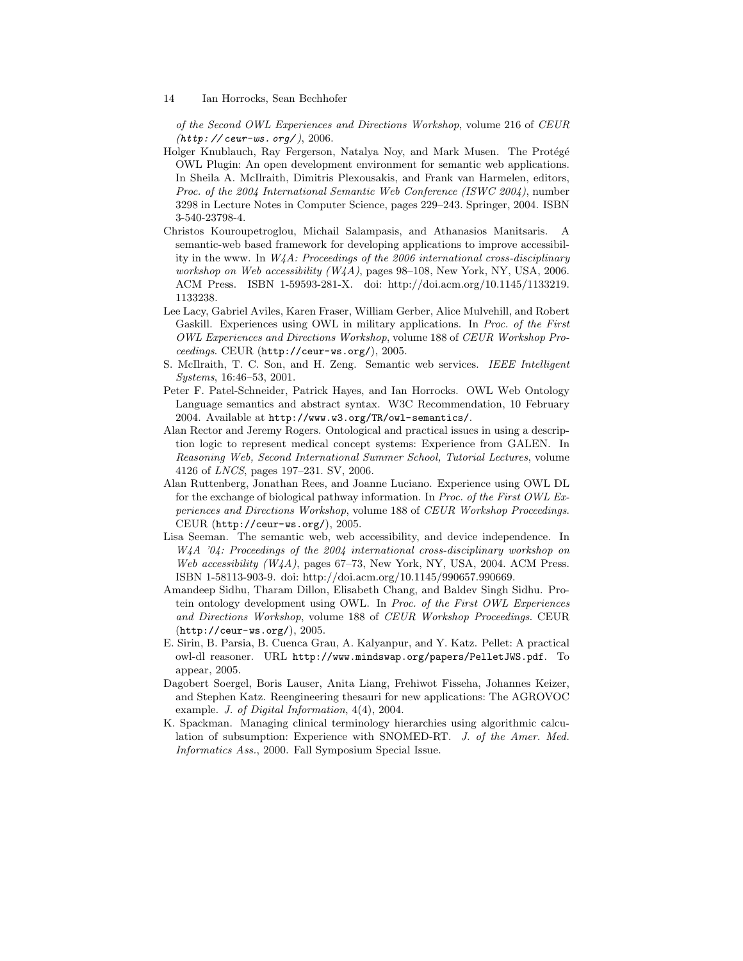of the Second OWL Experiences and Directions Workshop, volume 216 of CEUR  $(http://ceur-ws. or q/), 2006.$ 

- Holger Knublauch, Ray Fergerson, Natalya Noy, and Mark Musen. The Protégé OWL Plugin: An open development environment for semantic web applications. In Sheila A. McIlraith, Dimitris Plexousakis, and Frank van Harmelen, editors, Proc. of the 2004 International Semantic Web Conference (ISWC 2004), number 3298 in Lecture Notes in Computer Science, pages 229–243. Springer, 2004. ISBN 3-540-23798-4.
- Christos Kouroupetroglou, Michail Salampasis, and Athanasios Manitsaris. A semantic-web based framework for developing applications to improve accessibility in the www. In  $W<sub>4</sub>A$ : Proceedings of the 2006 international cross-disciplinary workshop on Web accessibility  $(W4A)$ , pages 98–108, New York, NY, USA, 2006. ACM Press. ISBN 1-59593-281-X. doi: http://doi.acm.org/10.1145/1133219. 1133238.
- Lee Lacy, Gabriel Aviles, Karen Fraser, William Gerber, Alice Mulvehill, and Robert Gaskill. Experiences using OWL in military applications. In Proc. of the First OWL Experiences and Directions Workshop, volume 188 of CEUR Workshop Proceedings. CEUR (http://ceur-ws.org/), 2005.
- S. McIlraith, T. C. Son, and H. Zeng. Semantic web services. IEEE Intelligent Systems, 16:46–53, 2001.
- Peter F. Patel-Schneider, Patrick Hayes, and Ian Horrocks. OWL Web Ontology Language semantics and abstract syntax. W3C Recommendation, 10 February 2004. Available at http://www.w3.org/TR/owl-semantics/.
- Alan Rector and Jeremy Rogers. Ontological and practical issues in using a description logic to represent medical concept systems: Experience from GALEN. In Reasoning Web, Second International Summer School, Tutorial Lectures, volume 4126 of LNCS, pages 197–231. SV, 2006.
- Alan Ruttenberg, Jonathan Rees, and Joanne Luciano. Experience using OWL DL for the exchange of biological pathway information. In Proc. of the First OWL Experiences and Directions Workshop, volume 188 of CEUR Workshop Proceedings. CEUR (http://ceur-ws.org/), 2005.
- Lisa Seeman. The semantic web, web accessibility, and device independence. In W4A '04: Proceedings of the 2004 international cross-disciplinary workshop on Web accessibility (W4A), pages 67–73, New York, NY, USA, 2004. ACM Press. ISBN 1-58113-903-9. doi: http://doi.acm.org/10.1145/990657.990669.
- Amandeep Sidhu, Tharam Dillon, Elisabeth Chang, and Baldev Singh Sidhu. Protein ontology development using OWL. In Proc. of the First OWL Experiences and Directions Workshop, volume 188 of CEUR Workshop Proceedings. CEUR (http://ceur-ws.org/), 2005.
- E. Sirin, B. Parsia, B. Cuenca Grau, A. Kalyanpur, and Y. Katz. Pellet: A practical owl-dl reasoner. URL http://www.mindswap.org/papers/PelletJWS.pdf. To appear, 2005.
- Dagobert Soergel, Boris Lauser, Anita Liang, Frehiwot Fisseha, Johannes Keizer, and Stephen Katz. Reengineering thesauri for new applications: The AGROVOC example. J. of Digital Information, 4(4), 2004.
- K. Spackman. Managing clinical terminology hierarchies using algorithmic calculation of subsumption: Experience with SNOMED-RT. J. of the Amer. Med. Informatics Ass., 2000. Fall Symposium Special Issue.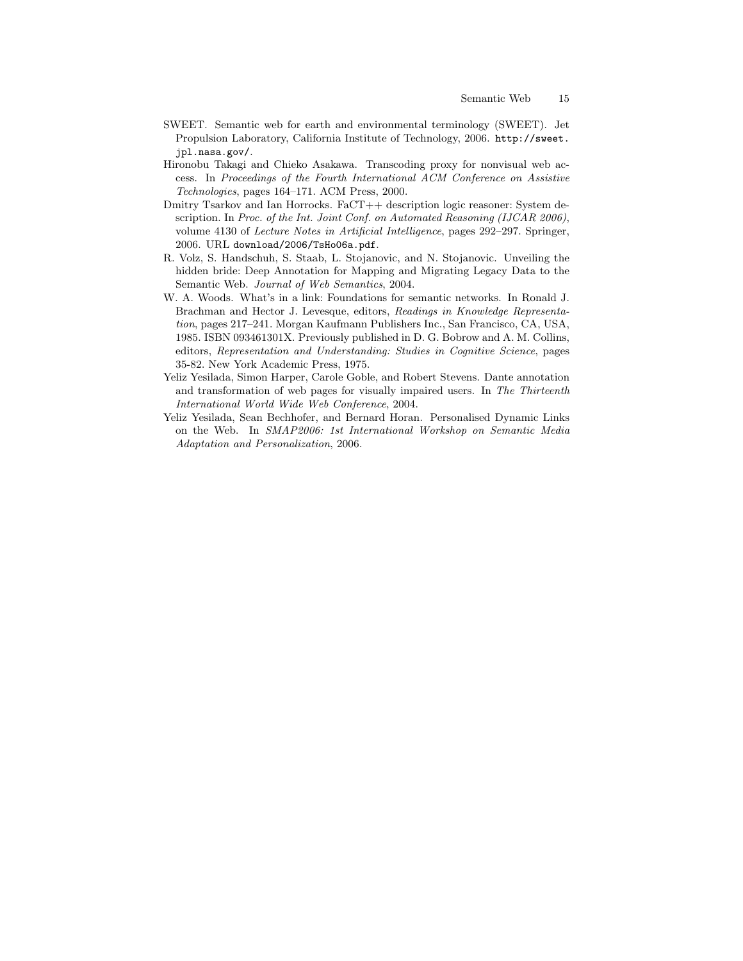- SWEET. Semantic web for earth and environmental terminology (SWEET). Jet Propulsion Laboratory, California Institute of Technology, 2006. http://sweet. jpl.nasa.gov/.
- Hironobu Takagi and Chieko Asakawa. Transcoding proxy for nonvisual web access. In Proceedings of the Fourth International ACM Conference on Assistive Technologies, pages 164–171. ACM Press, 2000.
- Dmitry Tsarkov and Ian Horrocks. FaCT++ description logic reasoner: System description. In Proc. of the Int. Joint Conf. on Automated Reasoning (IJCAR 2006), volume 4130 of Lecture Notes in Artificial Intelligence, pages 292–297. Springer, 2006. URL download/2006/TsHo06a.pdf.
- R. Volz, S. Handschuh, S. Staab, L. Stojanovic, and N. Stojanovic. Unveiling the hidden bride: Deep Annotation for Mapping and Migrating Legacy Data to the Semantic Web. Journal of Web Semantics, 2004.
- W. A. Woods. What's in a link: Foundations for semantic networks. In Ronald J. Brachman and Hector J. Levesque, editors, Readings in Knowledge Representation, pages 217–241. Morgan Kaufmann Publishers Inc., San Francisco, CA, USA, 1985. ISBN 093461301X. Previously published in D. G. Bobrow and A. M. Collins, editors, Representation and Understanding: Studies in Cognitive Science, pages 35-82. New York Academic Press, 1975.
- Yeliz Yesilada, Simon Harper, Carole Goble, and Robert Stevens. Dante annotation and transformation of web pages for visually impaired users. In The Thirteenth International World Wide Web Conference, 2004.
- Yeliz Yesilada, Sean Bechhofer, and Bernard Horan. Personalised Dynamic Links on the Web. In SMAP2006: 1st International Workshop on Semantic Media Adaptation and Personalization, 2006.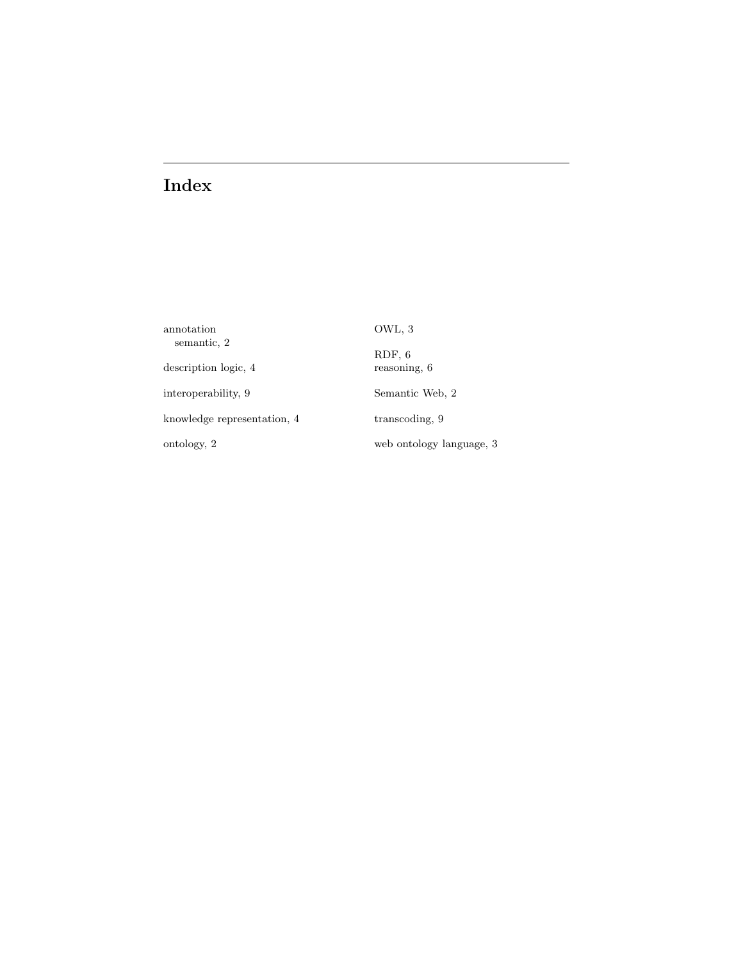# Index

| annotation                          | OWL, 3                   |
|-------------------------------------|--------------------------|
| semantic, 2<br>description logic, 4 | RDF, 6<br>reasoning, 6   |
| interoperability, 9                 | Semantic Web, 2          |
| knowledge representation, 4         | transcoding, 9           |
| ontology, 2                         | web ontology language, 3 |